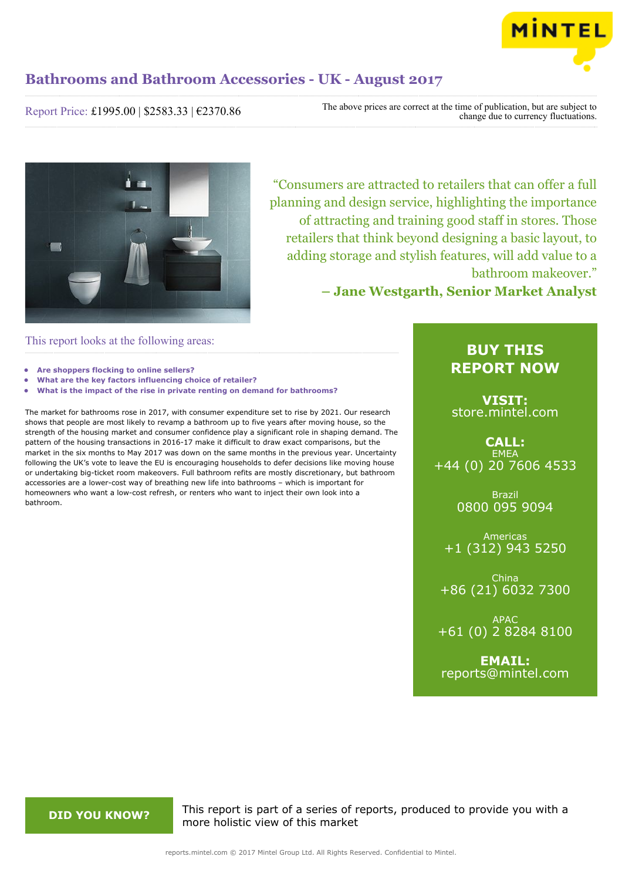

Report Price: £1995.00 | \$2583.33 | €2370.86

The above prices are correct at the time of publication, but are subject to change due to currency fluctuations.



"Consumers are attracted to retailers that can offer a full planning and design service, highlighting the importance of attracting and training good staff in stores. Those retailers that think beyond designing a basic layout, to adding storage and stylish features, will add value to a bathroom makeover."

**– Jane Westgarth, Senior Market Analyst**

### This report looks at the following areas:

- **• Are shoppers flocking to online sellers?**
- **• What are the key factors influencing choice of retailer?**
- **• What is the impact of the rise in private renting on demand for bathrooms?**

The market for bathrooms rose in 2017, with consumer expenditure set to rise by 2021. Our research shows that people are most likely to revamp a bathroom up to five years after moving house, so the strength of the housing market and consumer confidence play a significant role in shaping demand. The pattern of the housing transactions in 2016-17 make it difficult to draw exact comparisons, but the market in the six months to May 2017 was down on the same months in the previous year. Uncertainty following the UK's vote to leave the EU is encouraging households to defer decisions like moving house or undertaking big-ticket room makeovers. Full bathroom refits are mostly discretionary, but bathroom accessories are a lower-cost way of breathing new life into bathrooms – which is important for homeowners who want a low-cost refresh, or renters who want to inject their own look into a bathroom.

## **BUY THIS REPORT NOW**

**VISIT:** [store.mintel.com](http://reports.mintel.com//display/store/793749/)

**CALL: EMEA** +44 (0) 20 7606 4533

> Brazil 0800 095 9094

Americas +1 (312) 943 5250

China +86 (21) 6032 7300

APAC +61 (0) 2 8284 8100

**EMAIL:** [reports@mintel.com](mailto:reports@mintel.com)

**DID YOU KNOW?** This report is part of a series of reports, produced to provide you with a more holistic view of this market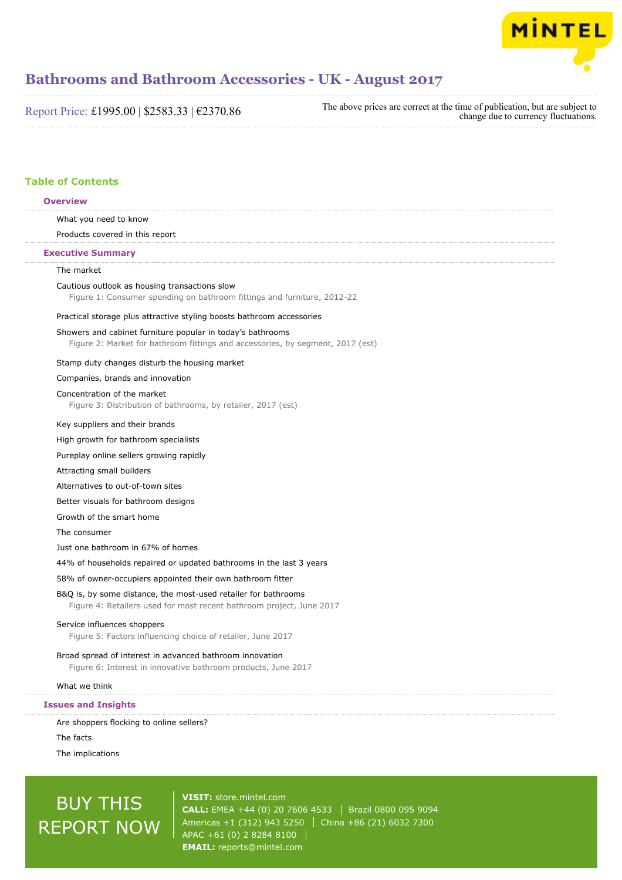

Report Price: £1995.00 | \$2583.33 | €2370.86

The above prices are correct at the time of publication, but are subject to change due to currency fluctuations.

#### **Table of Contents**

## What you need to know Products covered in this report The market Cautious outlook as housing transactions slow Figure 1: Consumer spending on bathroom fittings and furniture, 2012-22 Practical storage plus attractive styling boosts bathroom accessories Showers and cabinet furniture popular in today's bathrooms Figure 2: Market for bathroom fittings and accessories, by segment, 2017 (est) Stamp duty changes disturb the housing market Companies, brands and innovation Concentration of the market Figure 3: Distribution of bathrooms, by retailer, 2017 (est) Key suppliers and their brands High growth for bathroom specialists Pureplay online sellers growing rapidly Attracting small builders Alternatives to out-of-town sites Better visuals for bathroom designs Growth of the smart home The consumer Just one bathroom in 67% of homes 44% of households repaired or updated bathrooms in the last 3 years 58% of owner-occupiers appointed their own bathroom fitter B&Q is, by some distance, the most-used retailer for bathrooms Figure 4: Retailers used for most recent bathroom project, June 2017 Service influences shoppers Figure 5: Factors influencing choice of retailer, June 2017 Broad spread of interest in advanced bathroom innovation Figure 6: Interest in innovative bathroom products, June 2017 What we think **Overview Executive Summary Issues and Insights**

Are shoppers flocking to online sellers?

The facts

The implications

# BUY THIS REPORT NOW

**VISIT:** [store.mintel.com](http://reports.mintel.com//display/store/793749/) **CALL:** EMEA +44 (0) 20 7606 4533 | Brazil 0800 095 9094 Americas +1 (312) 943 5250 | China +86 (21) 6032 7300 APAC +61 (0) 2 8284 8100 **EMAIL:** [reports@mintel.com](mailto:reports@mintel.com)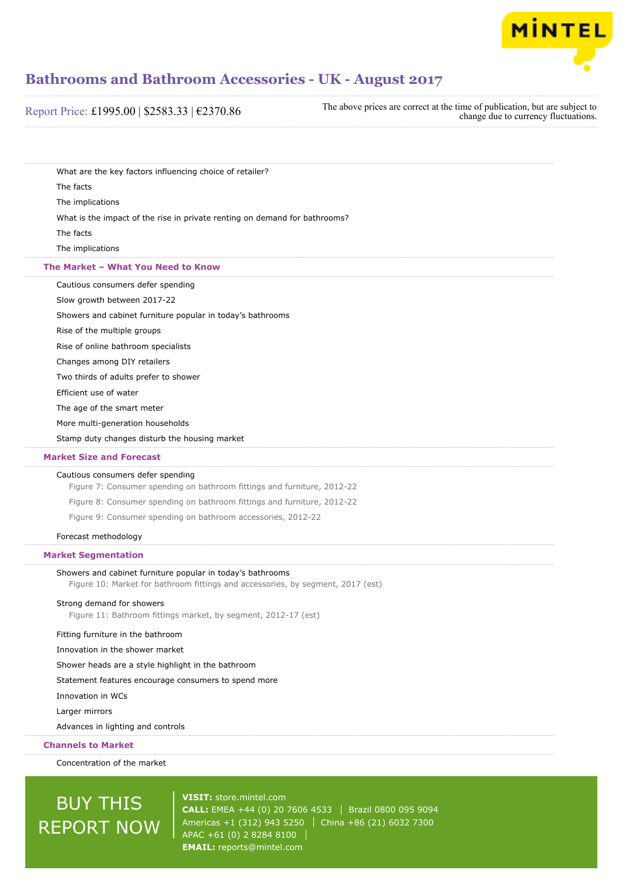

| Report Price: £1995.00   \$2583.33   €2370.86 |
|-----------------------------------------------|
|-----------------------------------------------|

The above prices are correct at the time of publication, but are subject to change due to currency fluctuations.

What are the key factors influencing choice of retailer? The facts The implications

What is the impact of the rise in private renting on demand for bathrooms?

The facts

The implications

#### **The Market – What You Need to Know**

Cautious consumers defer spending

Slow growth between 2017-22

Showers and cabinet furniture popular in today's bathrooms

Rise of the multiple groups

Rise of online bathroom specialists

Changes among DIY retailers

Two thirds of adults prefer to shower

Efficient use of water

The age of the smart meter

More multi-generation households

Stamp duty changes disturb the housing market

#### **Market Size and Forecast**

#### Cautious consumers defer spending

Figure 7: Consumer spending on bathroom fittings and furniture, 2012-22

Figure 8: Consumer spending on bathroom fittings and furniture, 2012-22

Figure 9: Consumer spending on bathroom accessories, 2012-22

#### Forecast methodology

**Market Segmentation**

#### Showers and cabinet furniture popular in today's bathrooms

Figure 10: Market for bathroom fittings and accessories, by segment, 2017 (est)

#### Strong demand for showers

Figure 11: Bathroom fittings market, by segment, 2012-17 (est)

#### Fitting furniture in the bathroom

Innovation in the shower market

Shower heads are a style highlight in the bathroom

Statement features encourage consumers to spend more

Innovation in WCs

Larger mirrors

Advances in lighting and controls

#### **Channels to Market**

Concentration of the market

# BUY THIS REPORT NOW

**VISIT:** [store.mintel.com](http://reports.mintel.com//display/store/793749/) **CALL:** EMEA +44 (0) 20 7606 4533 Brazil 0800 095 9094 Americas +1 (312) 943 5250 | China +86 (21) 6032 7300 APAC +61 (0) 2 8284 8100 **EMAIL:** [reports@mintel.com](mailto:reports@mintel.com)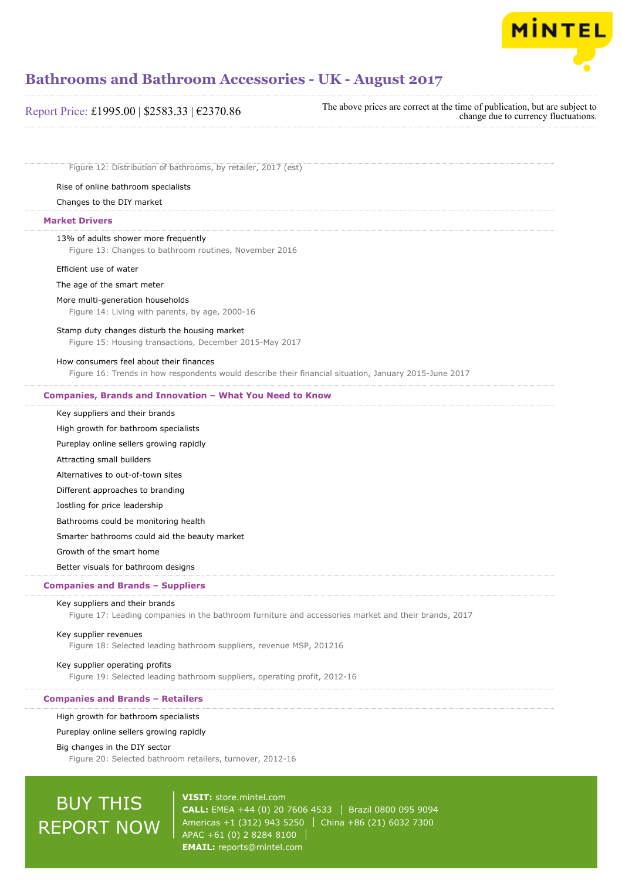

#### Report Price: £1995.00 | \$2583.33 | €2370.86

The above prices are correct at the time of publication, but are subject to change due to currency fluctuations.

Figure 12: Distribution of bathrooms, by retailer, 2017 (est)

#### Rise of online bathroom specialists

#### Changes to the DIY market

#### **Market Drivers**

#### 13% of adults shower more frequently

Figure 13: Changes to bathroom routines, November 2016

#### Efficient use of water

#### The age of the smart meter

#### More multi-generation households

Figure 14: Living with parents, by age, 2000-16

#### Stamp duty changes disturb the housing market

Figure 15: Housing transactions, December 2015-May 2017

#### How consumers feel about their finances

Figure 16: Trends in how respondents would describe their financial situation, January 2015-June 2017

#### **Companies, Brands and Innovation – What You Need to Know**

#### Key suppliers and their brands

High growth for bathroom specialists

Pureplay online sellers growing rapidly

Attracting small builders

Alternatives to out-of-town sites

Different approaches to branding

Jostling for price leadership

Bathrooms could be monitoring health

Smarter bathrooms could aid the beauty market

Growth of the smart home

Better visuals for bathroom designs

#### **Companies and Brands – Suppliers**

#### Key suppliers and their brands

Figure 17: Leading companies in the bathroom furniture and accessories market and their brands, 2017

#### Key supplier revenues

Figure 18: Selected leading bathroom suppliers, revenue MSP, 201216

#### Key supplier operating profits

Figure 19: Selected leading bathroom suppliers, operating profit, 2012-16

#### **Companies and Brands – Retailers**

#### High growth for bathroom specialists

Pureplay online sellers growing rapidly

#### Big changes in the DIY sector

Figure 20: Selected bathroom retailers, turnover, 2012-16

# BUY THIS REPORT NOW

**VISIT:** [store.mintel.com](http://reports.mintel.com//display/store/793749/) **CALL:** EMEA +44 (0) 20 7606 4533 | Brazil 0800 095 9094 Americas +1 (312) 943 5250 | China +86 (21) 6032 7300 APAC +61 (0) 2 8284 8100 **EMAIL:** [reports@mintel.com](mailto:reports@mintel.com)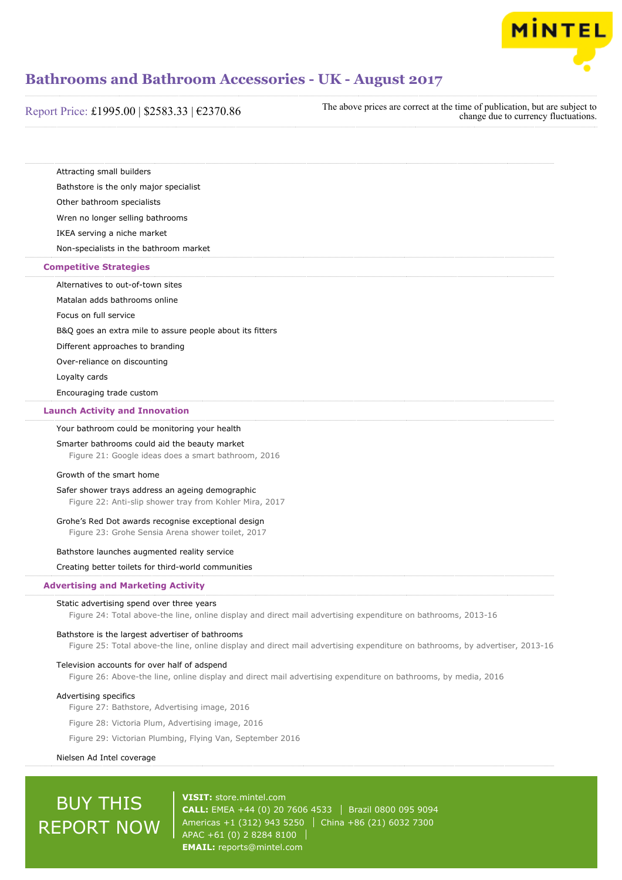

| Report Price: £1995.00   \$2583.33   $€2370.86$ |  |  |  |  |
|-------------------------------------------------|--|--|--|--|
|-------------------------------------------------|--|--|--|--|

The above prices are correct at the time of publication, but are subject to change due to currency fluctuations.

Attracting small builders

Bathstore is the only major specialist

Other bathroom specialists

Wren no longer selling bathrooms

IKEA serving a niche market

Non-specialists in the bathroom market

#### **Competitive Strategies**

Alternatives to out-of-town sites

Matalan adds bathrooms online

Focus on full service

B&Q goes an extra mile to assure people about its fitters

Different approaches to branding

Over-reliance on discounting

Loyalty cards

Encouraging trade custom

#### **Launch Activity and Innovation**

Your bathroom could be monitoring your health

#### Smarter bathrooms could aid the beauty market

Figure 21: Google ideas does a smart bathroom, 2016

#### Growth of the smart home

Safer shower trays address an ageing demographic Figure 22: Anti-slip shower tray from Kohler Mira, 2017

#### Grohe's Red Dot awards recognise exceptional design

Figure 23: Grohe Sensia Arena shower toilet, 2017

#### Bathstore launches augmented reality service

Creating better toilets for third-world communities

#### **Advertising and Marketing Activity**

#### Static advertising spend over three years

Figure 24: Total above-the line, online display and direct mail advertising expenditure on bathrooms, 2013-16

#### Bathstore is the largest advertiser of bathrooms

Figure 25: Total above-the line, online display and direct mail advertising expenditure on bathrooms, by advertiser, 2013-16

#### Television accounts for over half of adspend

Figure 26: Above-the line, online display and direct mail advertising expenditure on bathrooms, by media, 2016

#### Advertising specifics

Figure 27: Bathstore, Advertising image, 2016

Figure 28: Victoria Plum, Advertising image, 2016

Figure 29: Victorian Plumbing, Flying Van, September 2016

#### Nielsen Ad Intel coverage

# BUY THIS REPORT NOW

**VISIT:** [store.mintel.com](http://reports.mintel.com//display/store/793749/) **CALL:** EMEA +44 (0) 20 7606 4533 Brazil 0800 095 9094 Americas +1 (312) 943 5250 | China +86 (21) 6032 7300 APAC +61 (0) 2 8284 8100 **EMAIL:** [reports@mintel.com](mailto:reports@mintel.com)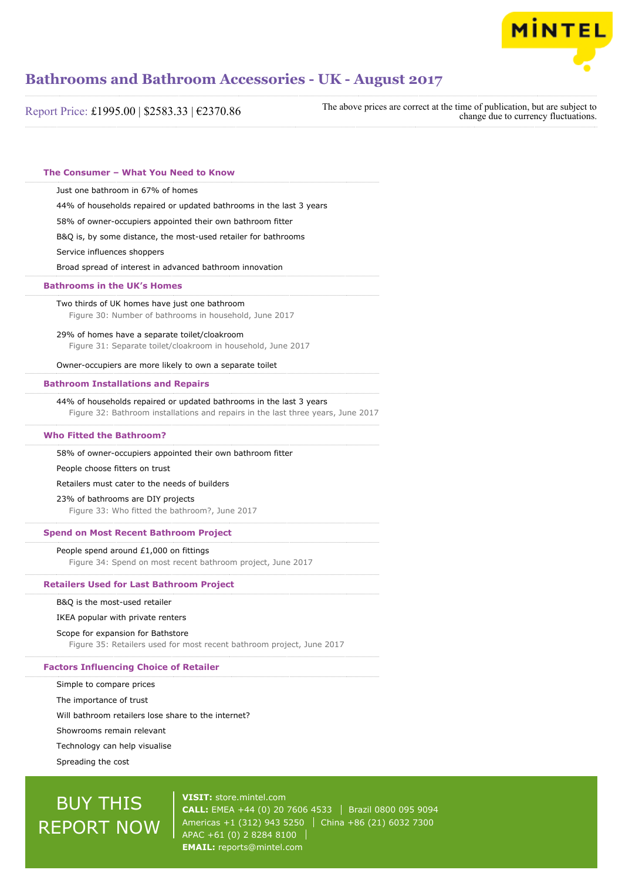

Report Price: £1995.00 | \$2583.33 | €2370.86

The above prices are correct at the time of publication, but are subject to change due to currency fluctuations.

| The Consumer - What You Need to Know                                                                                                                                                                                                                                                                                                |
|-------------------------------------------------------------------------------------------------------------------------------------------------------------------------------------------------------------------------------------------------------------------------------------------------------------------------------------|
| Just one bathroom in 67% of homes<br>44% of households repaired or updated bathrooms in the last 3 years<br>58% of owner-occupiers appointed their own bathroom fitter<br>B&Q is, by some distance, the most-used retailer for bathrooms<br>Service influences shoppers<br>Broad spread of interest in advanced bathroom innovation |
| <b>Bathrooms in the UK's Homes</b>                                                                                                                                                                                                                                                                                                  |
| Two thirds of UK homes have just one bathroom<br>Figure 30: Number of bathrooms in household, June 2017                                                                                                                                                                                                                             |
| 29% of homes have a separate toilet/cloakroom<br>Figure 31: Separate toilet/cloakroom in household, June 2017                                                                                                                                                                                                                       |
| Owner-occupiers are more likely to own a separate toilet                                                                                                                                                                                                                                                                            |
| <b>Bathroom Installations and Repairs</b>                                                                                                                                                                                                                                                                                           |
| 44% of households repaired or updated bathrooms in the last 3 years<br>Figure 32: Bathroom installations and repairs in the last three years, June 2017                                                                                                                                                                             |
| <b>Who Fitted the Bathroom?</b>                                                                                                                                                                                                                                                                                                     |
| 58% of owner-occupiers appointed their own bathroom fitter                                                                                                                                                                                                                                                                          |
| People choose fitters on trust                                                                                                                                                                                                                                                                                                      |
| Retailers must cater to the needs of builders                                                                                                                                                                                                                                                                                       |
| 23% of bathrooms are DIY projects<br>Figure 33: Who fitted the bathroom?, June 2017                                                                                                                                                                                                                                                 |
| <b>Spend on Most Recent Bathroom Project</b>                                                                                                                                                                                                                                                                                        |
| People spend around £1,000 on fittings<br>Figure 34: Spend on most recent bathroom project, June 2017                                                                                                                                                                                                                               |
| <b>Retailers Used for Last Bathroom Project</b>                                                                                                                                                                                                                                                                                     |
| B&Q is the most-used retailer                                                                                                                                                                                                                                                                                                       |
| IKEA popular with private renters                                                                                                                                                                                                                                                                                                   |
| Scope for expansion for Bathstore                                                                                                                                                                                                                                                                                                   |
| Figure 35: Retailers used for most recent bathroom project, June 2017                                                                                                                                                                                                                                                               |
| <b>Factors Influencing Choice of Retailer</b>                                                                                                                                                                                                                                                                                       |
| Simple to compare prices                                                                                                                                                                                                                                                                                                            |
| The importance of trust                                                                                                                                                                                                                                                                                                             |

Showrooms remain relevant

Technology can help visualise

Spreading the cost

# BUY THIS REPORT NOW

**VISIT:** [store.mintel.com](http://reports.mintel.com//display/store/793749/) **CALL:** EMEA +44 (0) 20 7606 4533 | Brazil 0800 095 9094 Americas +1 (312) 943 5250 | China +86 (21) 6032 7300 APAC +61 (0) 2 8284 8100 **EMAIL:** [reports@mintel.com](mailto:reports@mintel.com)